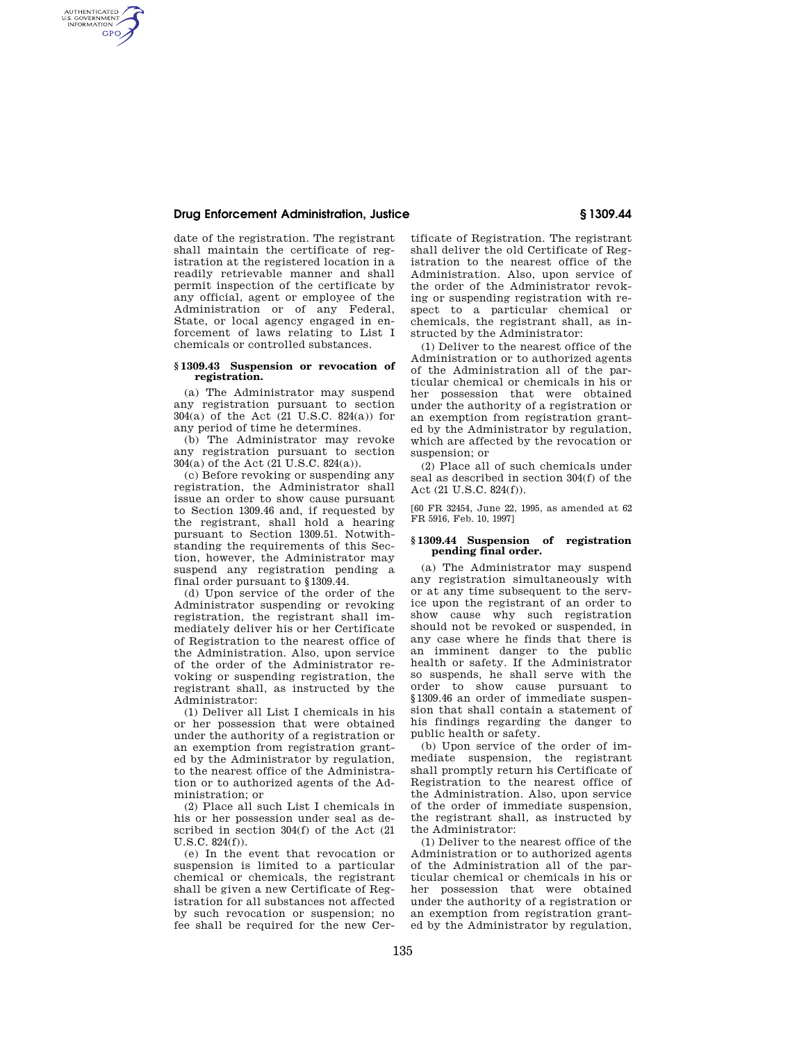### **Drug Enforcement Administration, Justice § 1309.44**

AUTHENTICATED<br>U.S. GOVERNMENT<br>INFORMATION **GPO** 

> date of the registration. The registrant shall maintain the certificate of registration at the registered location in a readily retrievable manner and shall permit inspection of the certificate by any official, agent or employee of the Administration or of any Federal, State, or local agency engaged in enforcement of laws relating to List I chemicals or controlled substances.

#### **§ 1309.43 Suspension or revocation of registration.**

(a) The Administrator may suspend any registration pursuant to section 304(a) of the Act (21 U.S.C. 824(a)) for any period of time he determines.

(b) The Administrator may revoke any registration pursuant to section 304(a) of the Act (21 U.S.C. 824(a)).

(c) Before revoking or suspending any registration, the Administrator shall issue an order to show cause pursuant to Section 1309.46 and, if requested by the registrant, shall hold a hearing pursuant to Section 1309.51. Notwithstanding the requirements of this Section, however, the Administrator may suspend any registration pending a final order pursuant to §1309.44.

(d) Upon service of the order of the Administrator suspending or revoking registration, the registrant shall immediately deliver his or her Certificate of Registration to the nearest office of the Administration. Also, upon service of the order of the Administrator revoking or suspending registration, the registrant shall, as instructed by the Administrator:

(1) Deliver all List I chemicals in his or her possession that were obtained under the authority of a registration or an exemption from registration granted by the Administrator by regulation, to the nearest office of the Administration or to authorized agents of the Administration; or

(2) Place all such List I chemicals in his or her possession under seal as described in section 304(f) of the Act (21 U.S.C. 824(f)).

(e) In the event that revocation or suspension is limited to a particular chemical or chemicals, the registrant shall be given a new Certificate of Registration for all substances not affected by such revocation or suspension; no fee shall be required for the new Certificate of Registration. The registrant shall deliver the old Certificate of Registration to the nearest office of the Administration. Also, upon service of the order of the Administrator revoking or suspending registration with respect to a particular chemical or chemicals, the registrant shall, as instructed by the Administrator:

(1) Deliver to the nearest office of the Administration or to authorized agents of the Administration all of the particular chemical or chemicals in his or her possession that were obtained under the authority of a registration or an exemption from registration granted by the Administrator by regulation, which are affected by the revocation or suspension; or

(2) Place all of such chemicals under seal as described in section 304(f) of the Act (21 U.S.C. 824(f)).

[60 FR 32454, June 22, 1995, as amended at 62 FR 5916, Feb. 10, 1997]

### **§ 1309.44 Suspension of registration pending final order.**

(a) The Administrator may suspend any registration simultaneously with or at any time subsequent to the service upon the registrant of an order to show cause why such registration should not be revoked or suspended, in any case where he finds that there is an imminent danger to the public health or safety. If the Administrator so suspends, he shall serve with the order to show cause pursuant to §1309.46 an order of immediate suspension that shall contain a statement of his findings regarding the danger to public health or safety.

(b) Upon service of the order of immediate suspension, the registrant shall promptly return his Certificate of Registration to the nearest office of the Administration. Also, upon service of the order of immediate suspension, the registrant shall, as instructed by the Administrator:

(1) Deliver to the nearest office of the Administration or to authorized agents of the Administration all of the particular chemical or chemicals in his or her possession that were obtained under the authority of a registration or an exemption from registration granted by the Administrator by regulation,